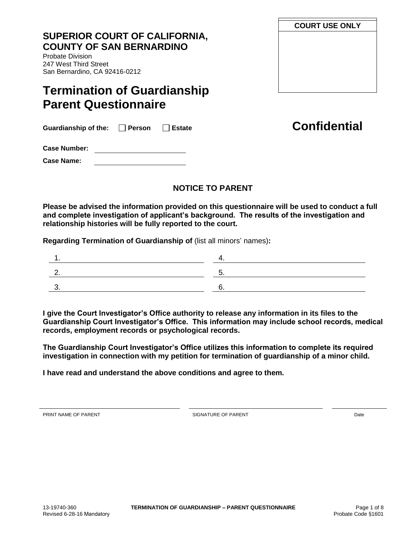# **SUPERIOR COURT OF CALIFORNIA, COUNTY OF SAN BERNARDINO**

Probate Division 247 West Third Street San Bernardino, CA 92416-0212

# **Termination of Guardianship Parent Questionnaire**

Guardianship of the: □ Person □ Estate **business Confidential** 

**Case Number:** 

**Case Name:**

# **NOTICE TO PARENT**

**Please be advised the information provided on this questionnaire will be used to conduct a full and complete investigation of applicant's background. The results of the investigation and relationship histories will be fully reported to the court.** 

**Regarding Termination of Guardianship of** (list all minors' names)**:**

**I give the Court Investigator's Office authority to release any information in its files to the Guardianship Court Investigator's Office. This information may include school records, medical records, employment records or psychological records.** 

**The Guardianship Court Investigator's Office utilizes this information to complete its required investigation in connection with my petition for termination of guardianship of a minor child.** 

**I have read and understand the above conditions and agree to them.** 

PRINT NAME OF PARENT Date of the SIGNATURE OF PARENT AND SIGNATURE OF PARENT

**COURT USE ONLY**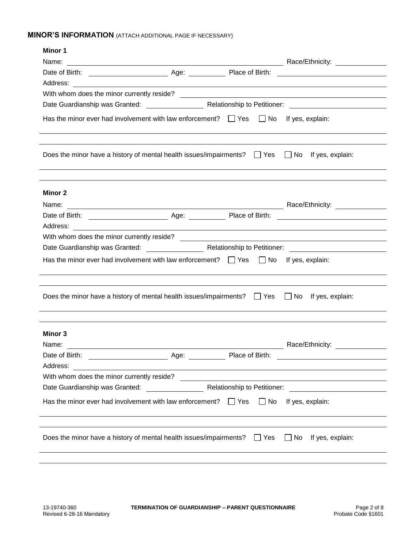## **MINOR'S INFORMATION** (ATTACH ADDITIONAL PAGE IF NECESSARY)

| <b>Minor 1</b>                                                                                                        |                      |           |                                                                                                                       |
|-----------------------------------------------------------------------------------------------------------------------|----------------------|-----------|-----------------------------------------------------------------------------------------------------------------------|
| Name:                                                                                                                 |                      |           |                                                                                                                       |
|                                                                                                                       |                      |           |                                                                                                                       |
|                                                                                                                       |                      |           |                                                                                                                       |
|                                                                                                                       |                      |           |                                                                                                                       |
|                                                                                                                       |                      |           |                                                                                                                       |
| Has the minor ever had involvement with law enforcement? $\Box$ Yes $\Box$ No If yes, explain:                        |                      |           |                                                                                                                       |
| Does the minor have a history of mental health issues/impairments? $\Box$ Yes $\Box$ No If yes, explain:              |                      |           |                                                                                                                       |
| Minor 2                                                                                                               |                      |           |                                                                                                                       |
|                                                                                                                       |                      |           |                                                                                                                       |
|                                                                                                                       |                      |           |                                                                                                                       |
| Address:<br><u> 1999 - Johann John Stone, markin sanat masjid asl nashrida asl nashrida asl nashrida asl nashrida</u> |                      |           |                                                                                                                       |
|                                                                                                                       |                      |           |                                                                                                                       |
|                                                                                                                       |                      |           |                                                                                                                       |
| Has the minor ever had involvement with law enforcement? $\Box$ Yes $\Box$ No If yes, explain:                        |                      |           |                                                                                                                       |
|                                                                                                                       |                      |           |                                                                                                                       |
| Does the minor have a history of mental health issues/impairments? $\Box$ Yes $\Box$ No If yes, explain:              |                      |           |                                                                                                                       |
|                                                                                                                       |                      |           |                                                                                                                       |
| Minor 3                                                                                                               |                      |           |                                                                                                                       |
| Name:<br><u> 1989 - John Stein, Amerikaansk politiker († 1989)</u>                                                    |                      |           | Race/Ethnicity:                                                                                                       |
| Date of Birth:                                                                                                        | Age: Place of Birth: |           |                                                                                                                       |
| Address:                                                                                                              |                      |           | <u> 1989 - Johann Stoff, deutscher Stoff, der Stoff, der Stoff, der Stoff, der Stoff, der Stoff, der Stoff, der S</u> |
|                                                                                                                       |                      |           |                                                                                                                       |
|                                                                                                                       |                      |           |                                                                                                                       |
| Has the minor ever had involvement with law enforcement? $\Box$ Yes                                                   |                      | $\Box$ No | If yes, explain:                                                                                                      |
|                                                                                                                       |                      |           |                                                                                                                       |
| Does the minor have a history of mental health issues/impairments? $\Box$ Yes                                         |                      |           | $\Box$ No If yes, explain:                                                                                            |
|                                                                                                                       |                      |           |                                                                                                                       |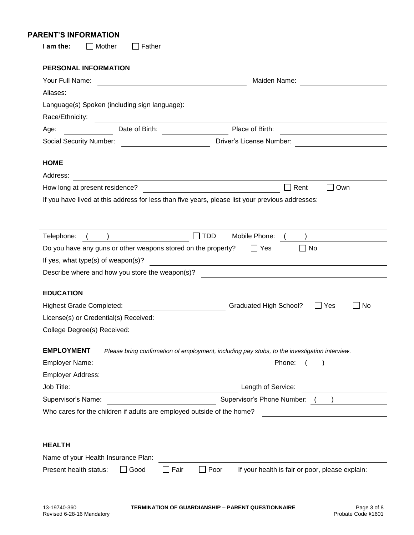#### **PARENT'S INFORMATION**

| <b>PERSONAL INFORMATION</b>                                                                                                                                                                                                                                          |                                                                                                                                     |
|----------------------------------------------------------------------------------------------------------------------------------------------------------------------------------------------------------------------------------------------------------------------|-------------------------------------------------------------------------------------------------------------------------------------|
| Your Full Name:                                                                                                                                                                                                                                                      | Maiden Name:<br><u> 1989 - Johann Barn, mars eta bainar eta baina eta baina eta baina eta baina eta baina eta baina eta baina e</u> |
| Aliases:                                                                                                                                                                                                                                                             |                                                                                                                                     |
| Language(s) Spoken (including sign language):                                                                                                                                                                                                                        |                                                                                                                                     |
| Race/Ethnicity:                                                                                                                                                                                                                                                      |                                                                                                                                     |
| Date of Birth:<br>Age:                                                                                                                                                                                                                                               | Place of Birth:                                                                                                                     |
| <b>Social Security Number:</b>                                                                                                                                                                                                                                       | Driver's License Number:                                                                                                            |
| <b>HOME</b>                                                                                                                                                                                                                                                          |                                                                                                                                     |
| Address:                                                                                                                                                                                                                                                             |                                                                                                                                     |
| How long at present residence?                                                                                                                                                                                                                                       | Own<br>Rent                                                                                                                         |
|                                                                                                                                                                                                                                                                      | If you have lived at this address for less than five years, please list your previous addresses:                                    |
|                                                                                                                                                                                                                                                                      |                                                                                                                                     |
|                                                                                                                                                                                                                                                                      |                                                                                                                                     |
|                                                                                                                                                                                                                                                                      | <b>TDD</b><br>Mobile Phone:                                                                                                         |
|                                                                                                                                                                                                                                                                      | $\Box$ Yes<br>∐ No                                                                                                                  |
|                                                                                                                                                                                                                                                                      |                                                                                                                                     |
|                                                                                                                                                                                                                                                                      |                                                                                                                                     |
|                                                                                                                                                                                                                                                                      | <u> 1980 - Andrea Andrew Maria (h. 1980).</u>                                                                                       |
|                                                                                                                                                                                                                                                                      |                                                                                                                                     |
|                                                                                                                                                                                                                                                                      | <b>Graduated High School?</b><br>Yes                                                                                                |
| Telephone:<br>Do you have any guns or other weapons stored on the property?<br>If yes, what type(s) of weapon(s)?<br>Describe where and how you store the weapon(s)?<br><b>EDUCATION</b><br><b>Highest Grade Completed:</b><br>License(s) or Credential(s) Received: | <u> 1980 - Jan Samuel Barbara, martin da shekara 1980 - An tsara 1980 - An tsara 1980 - An tsara 1980 - An tsara</u>                |
|                                                                                                                                                                                                                                                                      |                                                                                                                                     |
|                                                                                                                                                                                                                                                                      | Please bring confirmation of employment, including pay stubs, to the investigation interview.                                       |
|                                                                                                                                                                                                                                                                      | Phone:<br><u> 1980 - Johann Barn, mars ann an t-Amhain Aonaich an t-Aonaich an t-Aonaich ann an t-Aonaich ann an t-Aonaich</u>      |
|                                                                                                                                                                                                                                                                      | No<br><u> 1989 - John Stein, mars and de Brazilian (b. 1989)</u>                                                                    |
|                                                                                                                                                                                                                                                                      | Length of Service:                                                                                                                  |
| College Degree(s) Received:<br><b>EMPLOYMENT</b><br>Employer Name:<br><b>Employer Address:</b><br>Job Title:<br>Supervisor's Name:                                                                                                                                   |                                                                                                                                     |
| Who cares for the children if adults are employed outside of the home?                                                                                                                                                                                               | Supervisor's Phone Number: ()                                                                                                       |
| <b>HEALTH</b>                                                                                                                                                                                                                                                        |                                                                                                                                     |

 $\overline{\phantom{0}}$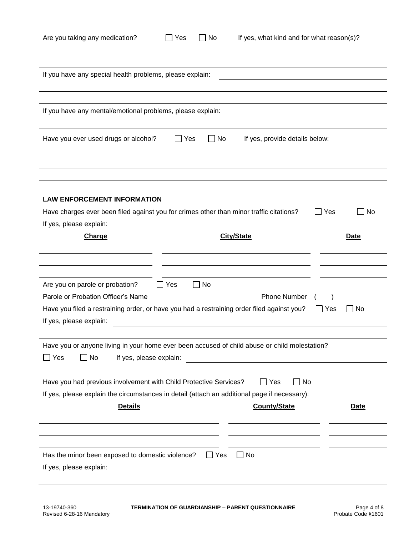| Are you taking any medication?                                                                                                                                                                 | Yes        | $\Box$ No  | If yes, what kind and for what reason(s)?   |                             |
|------------------------------------------------------------------------------------------------------------------------------------------------------------------------------------------------|------------|------------|---------------------------------------------|-----------------------------|
| If you have any special health problems, please explain:                                                                                                                                       |            |            |                                             |                             |
| If you have any mental/emotional problems, please explain:                                                                                                                                     |            |            |                                             |                             |
| Have you ever used drugs or alcohol?                                                                                                                                                           | Yes        | $\Box$ No  | If yes, provide details below:              |                             |
|                                                                                                                                                                                                |            |            |                                             |                             |
| <b>LAW ENFORCEMENT INFORMATION</b>                                                                                                                                                             |            |            |                                             |                             |
| Have charges ever been filed against you for crimes other than minor traffic citations?                                                                                                        |            |            |                                             | Yes<br>No<br>$\mathsf{L}$   |
| If yes, please explain:                                                                                                                                                                        |            |            |                                             |                             |
| <b>Charge</b>                                                                                                                                                                                  |            |            | <b>City/State</b>                           | Date                        |
| Are you on parole or probation?<br>Parole or Probation Officer's Name<br>Have you filed a restraining order, or have you had a restraining order filed against you?<br>If yes, please explain: | $\Box$ Yes | $\Box$ No  | Phone Number                                | No<br>Yes<br>$\blacksquare$ |
| Have you or anyone living in your home ever been accused of child abuse or child molestation?                                                                                                  |            |            |                                             |                             |
| Yes<br>If yes, please explain:<br>No                                                                                                                                                           |            |            |                                             |                             |
| Have you had previous involvement with Child Protective Services?<br>If yes, please explain the circumstances in detail (attach an additional page if necessary):<br><b>Details</b>            |            |            | $\Box$ Yes<br>l I No<br><b>County/State</b> | <b>Date</b>                 |
| Has the minor been exposed to domestic violence?<br>If yes, please explain:                                                                                                                    |            | $\Box$ Yes | $\Box$ No                                   |                             |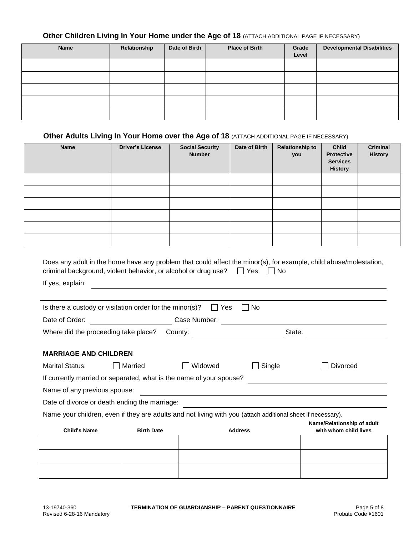### **Other Children Living In Your Home under the Age of 18 (ATTACH ADDITIONAL PAGE IF NECESSARY)**

| Name | Relationship | Date of Birth | <b>Place of Birth</b> | Grade<br>Level | <b>Developmental Disabilities</b> |
|------|--------------|---------------|-----------------------|----------------|-----------------------------------|
|      |              |               |                       |                |                                   |
|      |              |               |                       |                |                                   |
|      |              |               |                       |                |                                   |
|      |              |               |                       |                |                                   |
|      |              |               |                       |                |                                   |

### **Other Adults Living In Your Home over the Age of 18 (ATTACH ADDITIONAL PAGE IF NECESSARY)**

| <b>Name</b> | <b>Driver's License</b> | <b>Social Security</b><br><b>Number</b> | Date of Birth | <b>Relationship to</b><br>you | <b>Child</b><br><b>Protective</b><br><b>Services</b><br><b>History</b> | <b>Criminal</b><br><b>History</b> |
|-------------|-------------------------|-----------------------------------------|---------------|-------------------------------|------------------------------------------------------------------------|-----------------------------------|
|             |                         |                                         |               |                               |                                                                        |                                   |
|             |                         |                                         |               |                               |                                                                        |                                   |
|             |                         |                                         |               |                               |                                                                        |                                   |
|             |                         |                                         |               |                               |                                                                        |                                   |
|             |                         |                                         |               |                               |                                                                        |                                   |
|             |                         |                                         |               |                               |                                                                        |                                   |

| Does any adult in the home have any problem that could affect the minor(s), for example, child abuse/molestation, |  |
|-------------------------------------------------------------------------------------------------------------------|--|
| criminal background, violent behavior, or alcohol or drug use? $\Box$ Yes $\Box$ No                               |  |

<u> 1980 - Johann Barbara, martxa amerikan personal (h. 1980).</u>

If yes, explain:

| Is there a custody or visitation order for the minor(s)? |              | l Yes | l No |        |  |
|----------------------------------------------------------|--------------|-------|------|--------|--|
| Date of Order:                                           | Case Number: |       |      |        |  |
| Where did the proceeding take place?                     | County:      |       |      | State: |  |

#### **MARRIAGE AND CHILDREN**

| <b>Marital Status:</b>                        | Married | Widowed                                                             | $\Box$ Single | Divorced |  |  |  |
|-----------------------------------------------|---------|---------------------------------------------------------------------|---------------|----------|--|--|--|
|                                               |         | If currently married or separated, what is the name of your spouse? |               |          |  |  |  |
| Name of any previous spouse:                  |         |                                                                     |               |          |  |  |  |
| Date of divorce or death ending the marriage: |         |                                                                     |               |          |  |  |  |

Name your children, even if they are adults and not living with you (attach additional sheet if necessary).

| <b>Child's Name</b> | $\overline{\phantom{a}}$<br><b>Birth Date</b> | $\tilde{\phantom{a}}$<br><b>Address</b> | .<br>Name/Relationship of adult<br>with whom child lives |
|---------------------|-----------------------------------------------|-----------------------------------------|----------------------------------------------------------|
|                     |                                               |                                         |                                                          |
|                     |                                               |                                         |                                                          |
|                     |                                               |                                         |                                                          |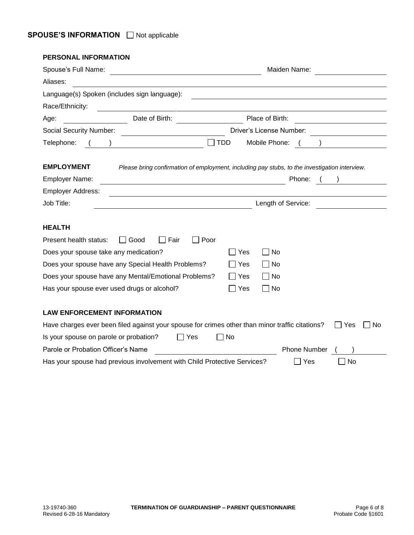| <b>PERSONAL INFORMATION</b>                                                                                                           |                                                                                                                               |
|---------------------------------------------------------------------------------------------------------------------------------------|-------------------------------------------------------------------------------------------------------------------------------|
| Spouse's Full Name:                                                                                                                   | Maiden Name:                                                                                                                  |
| Aliases:                                                                                                                              |                                                                                                                               |
| Language(s) Spoken (includes sign language):                                                                                          |                                                                                                                               |
| Race/Ethnicity:                                                                                                                       |                                                                                                                               |
| Date of Birth:<br>Age:                                                                                                                | Place of Birth:                                                                                                               |
| <b>Social Security Number:</b>                                                                                                        | Driver's License Number:                                                                                                      |
| <b>TDD</b><br>Telephone:                                                                                                              | Mobile Phone:<br>$\mathcal{L}$                                                                                                |
| <b>EMPLOYMENT</b><br><b>Employer Name:</b><br><b>Employer Address:</b><br>Job Title:                                                  | Please bring confirmation of employment, including pay stubs, to the investigation interview.<br>Phone:<br>Length of Service: |
| <b>HEALTH</b>                                                                                                                         |                                                                                                                               |
| Fair<br>Present health status:<br>Good<br>Poor                                                                                        |                                                                                                                               |
| Does your spouse take any medication?                                                                                                 | No<br>Yes                                                                                                                     |
| Does your spouse have any Special Health Problems?                                                                                    | ∣ ∣ No<br>Yes                                                                                                                 |
| Does your spouse have any Mental/Emotional Problems?                                                                                  | ∣ No<br>l Yes                                                                                                                 |
| Has your spouse ever used drugs or alcohol?                                                                                           | No<br>Yes                                                                                                                     |
| <b>LAW ENFORCEMENT INFORMATION</b><br>Have charges ever been filed against your spouse for crimes other than minor traffic citations? | 1 Yes<br>No                                                                                                                   |
| Is your spouse on parole or probation?<br>  Yes                                                                                       | No                                                                                                                            |
| Parole or Probation Officer's Name                                                                                                    | <b>Phone Number</b>                                                                                                           |
| Has your spouse had previous involvement with Child Protective Services?                                                              | No<br>Yes                                                                                                                     |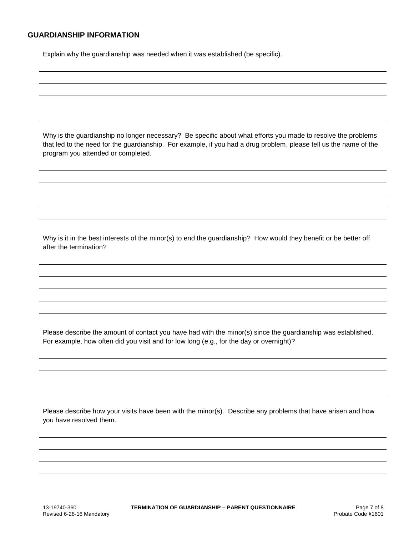#### **GUARDIANSHIP INFORMATION**

Explain why the guardianship was needed when it was established (be specific).

Why is the guardianship no longer necessary? Be specific about what efforts you made to resolve the problems that led to the need for the guardianship. For example, if you had a drug problem, please tell us the name of the program you attended or completed.

Why is it in the best interests of the minor(s) to end the guardianship? How would they benefit or be better off after the termination?

Please describe the amount of contact you have had with the minor(s) since the guardianship was established. For example, how often did you visit and for low long (e.g., for the day or overnight)?

Please describe how your visits have been with the minor(s). Describe any problems that have arisen and how you have resolved them.